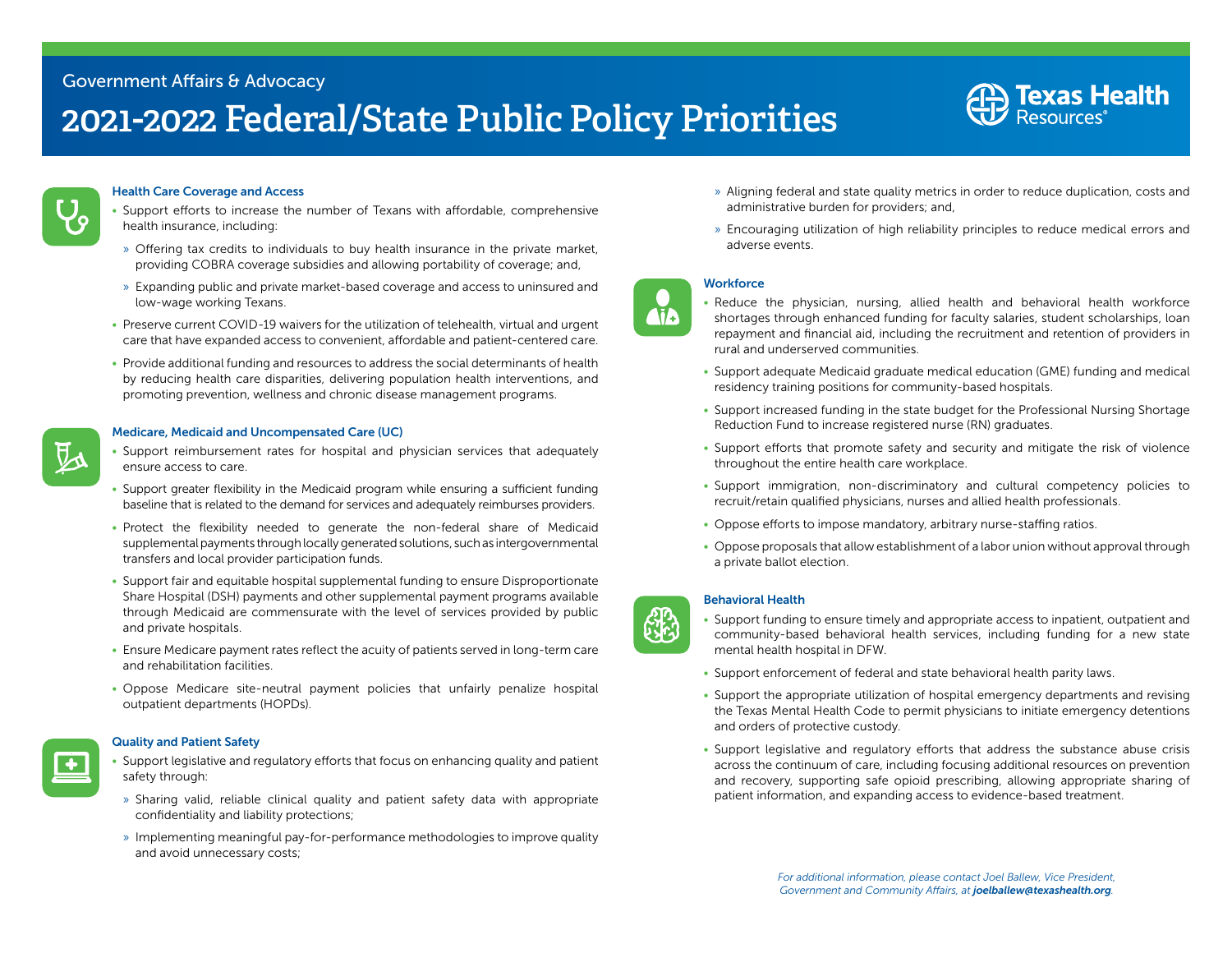## Government Affairs & Advocacy

# **2021-2022 Federal/State Public Policy Priorities**



## Health Care Coverage and Access

- Support efforts to increase the number of Texans with affordable, comprehensive health insurance, including:
- » Offering tax credits to individuals to buy health insurance in the private market, providing COBRA coverage subsidies and allowing portability of coverage; and,
- » Expanding public and private market-based coverage and access to uninsured and low-wage working Texans.
- Preserve current COVID-19 waivers for the utilization of telehealth, virtual and urgent care that have expanded access to convenient, affordable and patient-centered care.
- Provide additional funding and resources to address the social determinants of health by reducing health care disparities, delivering population health interventions, and promoting prevention, wellness and chronic disease management programs.

## Medicare, Medicaid and Uncompensated Care (UC)

- Support reimbursement rates for hospital and physician services that adequately ensure access to care.
- Support greater flexibility in the Medicaid program while ensuring a sufficient funding baseline that is related to the demand for services and adequately reimburses providers.
- Protect the flexibility needed to generate the non-federal share of Medicaid supplemental payments through locally generated solutions, such as intergovernmental transfers and local provider participation funds.
- Support fair and equitable hospital supplemental funding to ensure Disproportionate Share Hospital (DSH) payments and other supplemental payment programs available through Medicaid are commensurate with the level of services provided by public and private hospitals.
- Ensure Medicare payment rates reflect the acuity of patients served in long-term care and rehabilitation facilities.
- Oppose Medicare site-neutral payment policies that unfairly penalize hospital outpatient departments (HOPDs).

### Quality and Patient Safety

- Support legislative and regulatory efforts that focus on enhancing quality and patient safety through:
- » Sharing valid, reliable clinical quality and patient safety data with appropriate confidentiality and liability protections;
- » Implementing meaningful pay-for-performance methodologies to improve quality and avoid unnecessary costs;
- » Aligning federal and state quality metrics in order to reduce duplication, costs and administrative burden for providers; and,
- » Encouraging utilization of high reliability principles to reduce medical errors and adverse events.

## **Workforce**

**Aic** 

- Reduce the physician, nursing, allied health and behavioral health workforce shortages through enhanced funding for faculty salaries, student scholarships, loan repayment and financial aid, including the recruitment and retention of providers in rural and underserved communities.
- Support adequate Medicaid graduate medical education (GME) funding and medical residency training positions for community-based hospitals.
- Support increased funding in the state budget for the Professional Nursing Shortage Reduction Fund to increase registered nurse (RN) graduates.
- Support efforts that promote safety and security and mitigate the risk of violence throughout the entire health care workplace.
- Support immigration, non-discriminatory and cultural competency policies to recruit/retain qualified physicians, nurses and allied health professionals.
- Oppose efforts to impose mandatory, arbitrary nurse-staffing ratios.
- Oppose proposals that allow establishment of a labor union without approval through a private ballot election.

### Behavioral Health

- Support funding to ensure timely and appropriate access to inpatient, outpatient and community-based behavioral health services, including funding for a new state mental health hospital in DFW.
- Support enforcement of federal and state behavioral health parity laws.
- Support the appropriate utilization of hospital emergency departments and revising the Texas Mental Health Code to permit physicians to initiate emergency detentions and orders of protective custody.
- Support legislative and regulatory efforts that address the substance abuse crisis across the continuum of care, including focusing additional resources on prevention and recovery, supporting safe opioid prescribing, allowing appropriate sharing of patient information, and expanding access to evidence-based treatment.